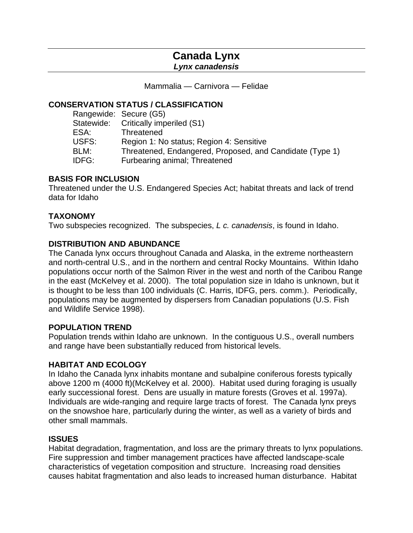# **Canada Lynx**

*Lynx canadensis* 

Mammalia — Carnivora — Felidae

## **CONSERVATION STATUS / CLASSIFICATION**

| Threatened, Endangered, Proposed, and Candidate (Type 1) |
|----------------------------------------------------------|
|                                                          |
|                                                          |

## **BASIS FOR INCLUSION**

Threatened under the U.S. Endangered Species Act; habitat threats and lack of trend data for Idaho

## **TAXONOMY**

Two subspecies recognized. The subspecies, *L c. canadensis*, is found in Idaho.

## **DISTRIBUTION AND ABUNDANCE**

The Canada lynx occurs throughout Canada and Alaska, in the extreme northeastern and north-central U.S., and in the northern and central Rocky Mountains. Within Idaho populations occur north of the Salmon River in the west and north of the Caribou Range in the east (McKelvey et al. 2000). The total population size in Idaho is unknown, but it is thought to be less than 100 individuals (C. Harris, IDFG, pers. comm.). Periodically, populations may be augmented by dispersers from Canadian populations (U.S. Fish and Wildlife Service 1998).

## **POPULATION TREND**

Population trends within Idaho are unknown. In the contiguous U.S., overall numbers and range have been substantially reduced from historical levels.

## **HABITAT AND ECOLOGY**

In Idaho the Canada lynx inhabits montane and subalpine coniferous forests typically above 1200 m (4000 ft)(McKelvey et al. 2000). Habitat used during foraging is usually early successional forest. Dens are usually in mature forests (Groves et al. 1997a). Individuals are wide-ranging and require large tracts of forest. The Canada lynx preys on the snowshoe hare, particularly during the winter, as well as a variety of birds and other small mammals.

## **ISSUES**

Habitat degradation, fragmentation, and loss are the primary threats to lynx populations. Fire suppression and timber management practices have affected landscape-scale characteristics of vegetation composition and structure. Increasing road densities causes habitat fragmentation and also leads to increased human disturbance. Habitat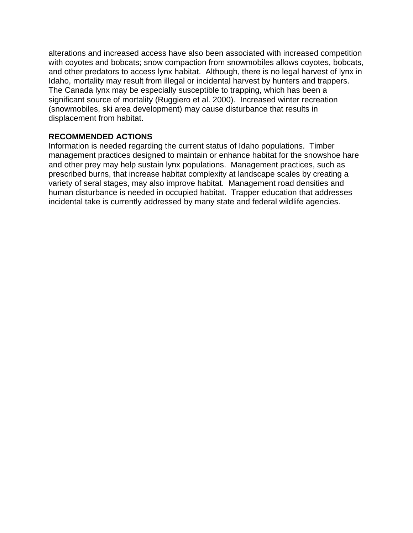alterations and increased access have also been associated with increased competition with coyotes and bobcats; snow compaction from snowmobiles allows coyotes, bobcats, and other predators to access lynx habitat. Although, there is no legal harvest of lynx in Idaho, mortality may result from illegal or incidental harvest by hunters and trappers. The Canada lynx may be especially susceptible to trapping, which has been a significant source of mortality (Ruggiero et al. 2000). Increased winter recreation (snowmobiles, ski area development) may cause disturbance that results in displacement from habitat.

## **RECOMMENDED ACTIONS**

Information is needed regarding the current status of Idaho populations. Timber management practices designed to maintain or enhance habitat for the snowshoe hare and other prey may help sustain lynx populations. Management practices, such as prescribed burns, that increase habitat complexity at landscape scales by creating a variety of seral stages, may also improve habitat. Management road densities and human disturbance is needed in occupied habitat. Trapper education that addresses incidental take is currently addressed by many state and federal wildlife agencies.